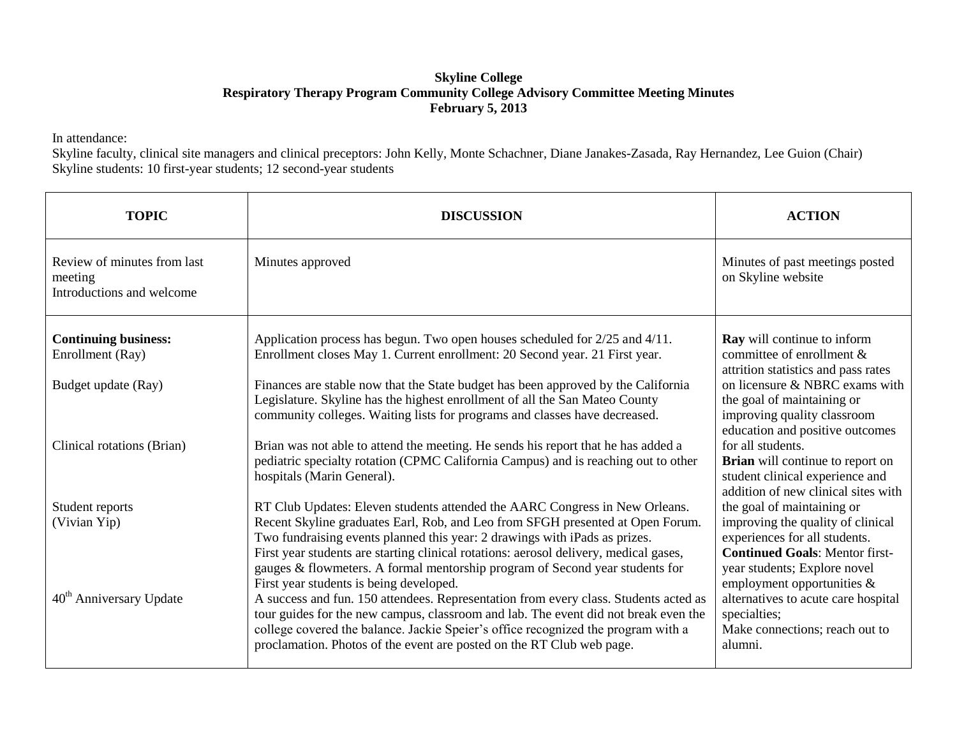## **Skyline College Respiratory Therapy Program Community College Advisory Committee Meeting Minutes February 5, 2013**

In attendance:

Skyline faculty, clinical site managers and clinical preceptors: John Kelly, Monte Schachner, Diane Janakes-Zasada, Ray Hernandez, Lee Guion (Chair) Skyline students: 10 first-year students; 12 second-year students

| <b>TOPIC</b>                                                        | <b>DISCUSSION</b>                                                                                                                                                                                                                                                                                                                                                                                                    | <b>ACTION</b>                                                                                                                                                             |
|---------------------------------------------------------------------|----------------------------------------------------------------------------------------------------------------------------------------------------------------------------------------------------------------------------------------------------------------------------------------------------------------------------------------------------------------------------------------------------------------------|---------------------------------------------------------------------------------------------------------------------------------------------------------------------------|
| Review of minutes from last<br>meeting<br>Introductions and welcome | Minutes approved                                                                                                                                                                                                                                                                                                                                                                                                     | Minutes of past meetings posted<br>on Skyline website                                                                                                                     |
| <b>Continuing business:</b><br>Enrollment (Ray)                     | Application process has begun. Two open houses scheduled for 2/25 and 4/11.<br>Enrollment closes May 1. Current enrollment: 20 Second year. 21 First year.                                                                                                                                                                                                                                                           | <b>Ray</b> will continue to inform<br>committee of enrollment &<br>attrition statistics and pass rates                                                                    |
| Budget update (Ray)                                                 | Finances are stable now that the State budget has been approved by the California<br>Legislature. Skyline has the highest enrollment of all the San Mateo County<br>community colleges. Waiting lists for programs and classes have decreased.                                                                                                                                                                       | on licensure & NBRC exams with<br>the goal of maintaining or<br>improving quality classroom<br>education and positive outcomes                                            |
| Clinical rotations (Brian)                                          | Brian was not able to attend the meeting. He sends his report that he has added a<br>pediatric specialty rotation (CPMC California Campus) and is reaching out to other<br>hospitals (Marin General).                                                                                                                                                                                                                | for all students.<br>Brian will continue to report on<br>student clinical experience and<br>addition of new clinical sites with                                           |
| Student reports<br>(Vivian Yip)                                     | RT Club Updates: Eleven students attended the AARC Congress in New Orleans.<br>Recent Skyline graduates Earl, Rob, and Leo from SFGH presented at Open Forum.<br>Two fundraising events planned this year: 2 drawings with iPads as prizes.<br>First year students are starting clinical rotations: aerosol delivery, medical gases,<br>gauges & flowmeters. A formal mentorship program of Second year students for | the goal of maintaining or<br>improving the quality of clinical<br>experiences for all students.<br><b>Continued Goals: Mentor first-</b><br>year students; Explore novel |
| 40 <sup>th</sup> Anniversary Update                                 | First year students is being developed.<br>A success and fun. 150 attendees. Representation from every class. Students acted as<br>tour guides for the new campus, classroom and lab. The event did not break even the<br>college covered the balance. Jackie Speier's office recognized the program with a<br>proclamation. Photos of the event are posted on the RT Club web page.                                 | employment opportunities $\&$<br>alternatives to acute care hospital<br>specialties;<br>Make connections; reach out to<br>alumni.                                         |